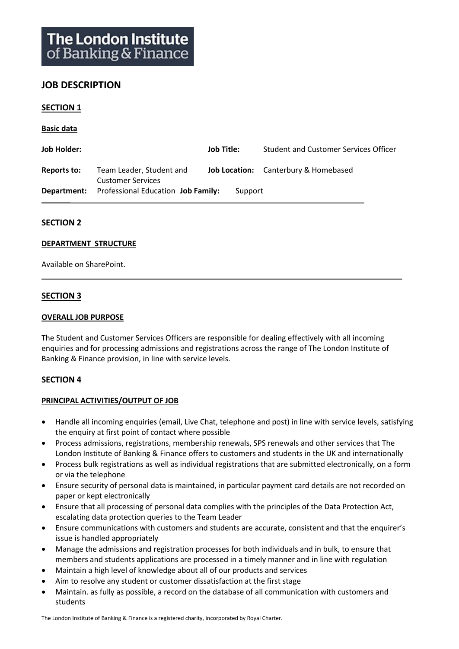# **JOB DESCRIPTION**

### **SECTION 1**

**Basic data**

| Job Holder: |                                                              | Job Title: | Student and Customer Services Officer       |
|-------------|--------------------------------------------------------------|------------|---------------------------------------------|
| Reports to: | Team Leader, Student and<br><b>Customer Services</b>         |            | <b>Job Location:</b> Canterbury & Homebased |
|             | <b>Department:</b> Professional Education <b>Job Family:</b> | Support    |                                             |

### **SECTION 2**

#### **DEPARTMENT STRUCTURE**

Available on SharePoint.

## **SECTION 3**

#### **OVERALL JOB PURPOSE**

The Student and Customer Services Officers are responsible for dealing effectively with all incoming enquiries and for processing admissions and registrations across the range of The London Institute of Banking & Finance provision, in line with service levels.

### **SECTION 4**

### **PRINCIPAL ACTIVITIES/OUTPUT OF JOB**

- Handle all incoming enquiries (email, Live Chat, telephone and post) in line with service levels, satisfying the enquiry at first point of contact where possible
- Process admissions, registrations, membership renewals, SPS renewals and other services that The London Institute of Banking & Finance offers to customers and students in the UK and internationally
- Process bulk registrations as well as individual registrations that are submitted electronically, on a form or via the telephone
- Ensure security of personal data is maintained, in particular payment card details are not recorded on paper or kept electronically
- Ensure that all processing of personal data complies with the principles of the Data Protection Act, escalating data protection queries to the Team Leader
- Ensure communications with customers and students are accurate, consistent and that the enquirer's issue is handled appropriately
- Manage the admissions and registration processes for both individuals and in bulk, to ensure that members and students applications are processed in a timely manner and in line with regulation
- Maintain a high level of knowledge about all of our products and services
- Aim to resolve any student or customer dissatisfaction at the first stage
- Maintain. as fully as possible, a record on the database of all communication with customers and students

The London Institute of Banking & Finance is a registered charity, incorporated by Royal Charter.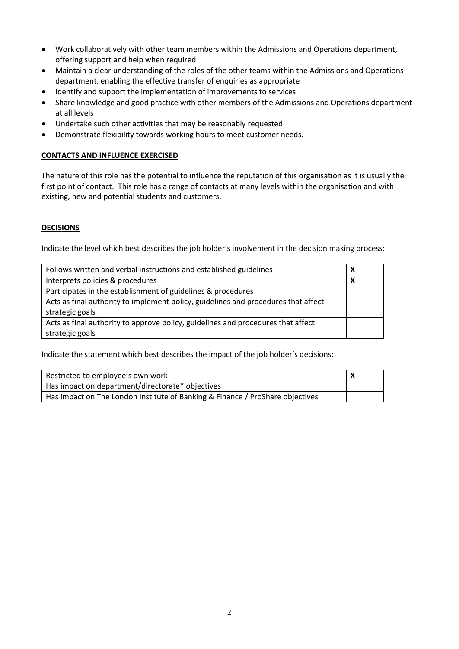- Work collaboratively with other team members within the Admissions and Operations department, offering support and help when required
- Maintain a clear understanding of the roles of the other teams within the Admissions and Operations department, enabling the effective transfer of enquiries as appropriate
- Identify and support the implementation of improvements to services
- Share knowledge and good practice with other members of the Admissions and Operations department at all levels
- Undertake such other activities that may be reasonably requested
- Demonstrate flexibility towards working hours to meet customer needs.

## **CONTACTS AND INFLUENCE EXERCISED**

The nature of this role has the potential to influence the reputation of this organisation as it is usually the first point of contact. This role has a range of contacts at many levels within the organisation and with existing, new and potential students and customers.

## **DECISIONS**

Indicate the level which best describes the job holder's involvement in the decision making process:

| Follows written and verbal instructions and established guidelines                 |  |
|------------------------------------------------------------------------------------|--|
| Interprets policies & procedures                                                   |  |
| Participates in the establishment of guidelines & procedures                       |  |
| Acts as final authority to implement policy, guidelines and procedures that affect |  |
| strategic goals                                                                    |  |
| Acts as final authority to approve policy, guidelines and procedures that affect   |  |
| strategic goals                                                                    |  |

Indicate the statement which best describes the impact of the job holder's decisions:

| Restricted to employee's own work                                             |  |
|-------------------------------------------------------------------------------|--|
| Has impact on department/directorate* objectives                              |  |
| Has impact on The London Institute of Banking & Finance / ProShare objectives |  |